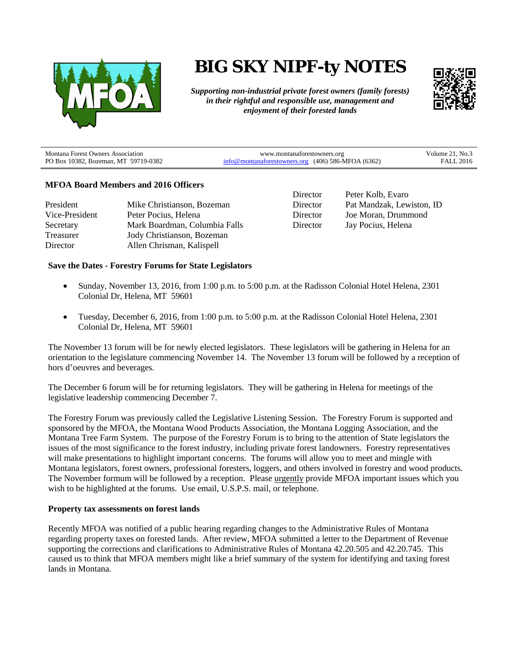

# **BIG SKY NIPF-ty NOTES**

*Supporting non-industrial private forest owners (family forests) in their rightful and responsible use, management and enjoyment of their forested lands*



| <b>Montana Forest Owners Association</b> | www.montanaforestowners.org                           | Volume 21, No.3  |
|------------------------------------------|-------------------------------------------------------|------------------|
| PO Box 10382, Bozeman, MT 59719-0382     | $info@$ montanaforestowners.org (406) 586-MFOA (6362) | <b>FALL 2016</b> |

## **MFOA Board Members and 2016 Officers**

| President      | Mike Christianson, Bozeman    |
|----------------|-------------------------------|
| Vice-President | Peter Pocius, Helena          |
| Secretary      | Mark Boardman, Columbia Falls |
| Treasurer      | Jody Christianson, Bozeman    |
| Director       | Allen Chrisman, Kalispell     |

Director Peter Kolb, Evaro<br>Director Pat Mandzak Lew Pat Mandzak, Lewiston, ID Director Joe Moran, Drummond Director Jay Pocius, Helena

## **Save the Dates - Forestry Forums for State Legislators**

- Sunday, November 13, 2016, from 1:00 p.m. to 5:00 p.m. at the Radisson Colonial Hotel Helena, 2301 Colonial Dr, Helena, MT 59601
- Tuesday, December 6, 2016, from 1:00 p.m. to 5:00 p.m. at the Radisson Colonial Hotel Helena, 2301 Colonial Dr, Helena, MT 59601

The November 13 forum will be for newly elected legislators. These legislators will be gathering in Helena for an orientation to the legislature commencing November 14. The November 13 forum will be followed by a reception of hors d'oeuvres and beverages.

The December 6 forum will be for returning legislators. They will be gathering in Helena for meetings of the legislative leadership commencing December 7.

The Forestry Forum was previously called the Legislative Listening Session. The Forestry Forum is supported and sponsored by the MFOA, the Montana Wood Products Association, the Montana Logging Association, and the Montana Tree Farm System. The purpose of the Forestry Forum is to bring to the attention of State legislators the issues of the most significance to the forest industry, including private forest landowners. Forestry representatives will make presentations to highlight important concerns. The forums will allow you to meet and mingle with Montana legislators, forest owners, professional foresters, loggers, and others involved in forestry and wood products. The November formum will be followed by a reception. Please urgently provide MFOA important issues which you wish to be highlighted at the forums. Use email, U.S.P.S. mail, or telephone.

#### **Property tax assessments on forest lands**

Recently MFOA was notified of a public hearing regarding changes to the Administrative Rules of Montana regarding property taxes on forested lands. After review, MFOA submitted a letter to the Department of Revenue supporting the corrections and clarifications to Administrative Rules of Montana 42.20.505 and 42.20.745. This caused us to think that MFOA members might like a brief summary of the system for identifying and taxing forest lands in Montana.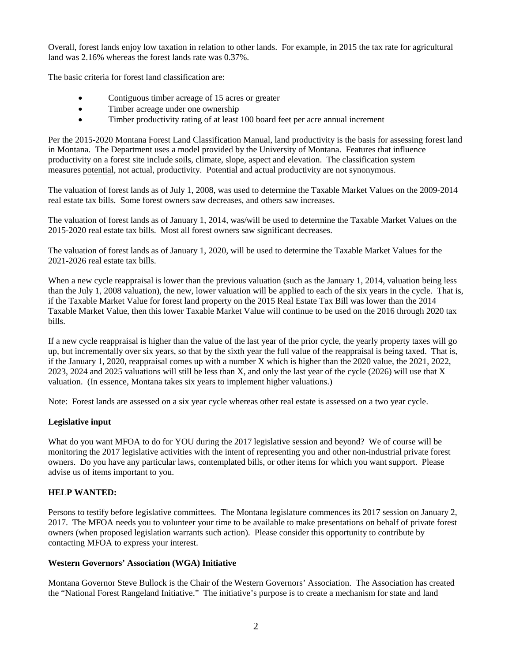Overall, forest lands enjoy low taxation in relation to other lands. For example, in 2015 the tax rate for agricultural land was 2.16% whereas the forest lands rate was 0.37%.

The basic criteria for forest land classification are:

- Contiguous timber acreage of 15 acres or greater
- Timber acreage under one ownership
- Timber productivity rating of at least 100 board feet per acre annual increment

Per the 2015-2020 Montana Forest Land Classification Manual, land productivity is the basis for assessing forest land in Montana. The Department uses a model provided by the University of Montana. Features that influence productivity on a forest site include soils, climate, slope, aspect and elevation. The classification system measures potential, not actual, productivity. Potential and actual productivity are not synonymous.

The valuation of forest lands as of July 1, 2008, was used to determine the Taxable Market Values on the 2009-2014 real estate tax bills. Some forest owners saw decreases, and others saw increases.

The valuation of forest lands as of January 1, 2014, was/will be used to determine the Taxable Market Values on the 2015-2020 real estate tax bills. Most all forest owners saw significant decreases.

The valuation of forest lands as of January 1, 2020, will be used to determine the Taxable Market Values for the 2021-2026 real estate tax bills.

When a new cycle reappraisal is lower than the previous valuation (such as the January 1, 2014, valuation being less than the July 1, 2008 valuation), the new, lower valuation will be applied to each of the six years in the cycle. That is, if the Taxable Market Value for forest land property on the 2015 Real Estate Tax Bill was lower than the 2014 Taxable Market Value, then this lower Taxable Market Value will continue to be used on the 2016 through 2020 tax bills.

If a new cycle reappraisal is higher than the value of the last year of the prior cycle, the yearly property taxes will go up, but incrementally over six years, so that by the sixth year the full value of the reappraisal is being taxed. That is, if the January 1, 2020, reappraisal comes up with a number X which is higher than the 2020 value, the 2021, 2022, 2023, 2024 and 2025 valuations will still be less than X, and only the last year of the cycle (2026) will use that X valuation. (In essence, Montana takes six years to implement higher valuations.)

Note: Forest lands are assessed on a six year cycle whereas other real estate is assessed on a two year cycle.

#### **Legislative input**

What do you want MFOA to do for YOU during the 2017 legislative session and beyond? We of course will be monitoring the 2017 legislative activities with the intent of representing you and other non-industrial private forest owners. Do you have any particular laws, contemplated bills, or other items for which you want support. Please advise us of items important to you.

# **HELP WANTED:**

Persons to testify before legislative committees. The Montana legislature commences its 2017 session on January 2, 2017. The MFOA needs you to volunteer your time to be available to make presentations on behalf of private forest owners (when proposed legislation warrants such action). Please consider this opportunity to contribute by contacting MFOA to express your interest.

#### **Western Governors' Association (WGA) Initiative**

Montana Governor Steve Bullock is the Chair of the Western Governors' Association. The Association has created the "National Forest Rangeland Initiative." The initiative's purpose is to create a mechanism for state and land